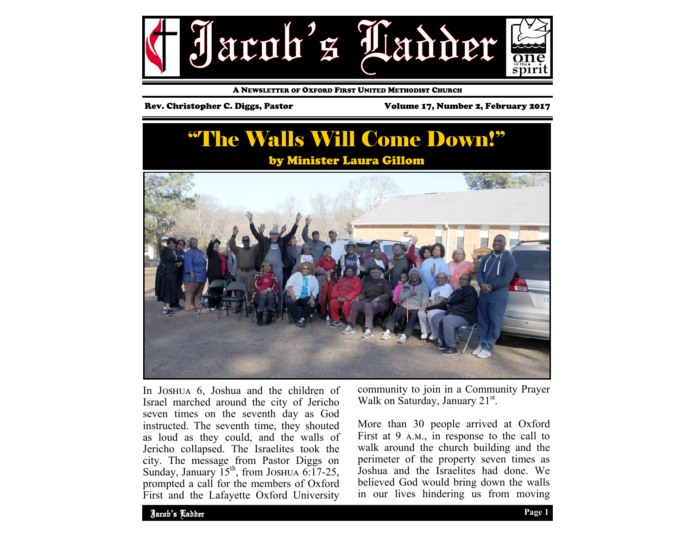

A NEWSLETTER OF OXFORD FIRST UNITED METHODIST CHURCH

Rev. Christopher C. Diggs, Pastor Volume 17, Number 2, February 2017

## "The Walls Will Come Down!" by Minister Laura Gillom



In JOSHUA 6, Joshua and the children of Israel marched around the city of Jericho seven times on the seventh day as God instructed. The seventh time, they shouted as loud as they could, and the walls of Jericho collapsed. The Israelites took the city. The message from Pastor Diggs on Sunday, January  $15^{th}$ , from JOSHUA 6:17-25, prompted a call for the members of Oxford First and the Lafayette Oxford University

community to join in a Community Prayer Walk on Saturday, January 21<sup>st</sup>.

More than 30 people arrived at Oxford First at 9  $A.M.,$  in response to the call to walk around the church building and the perimeter of the property seven times as Joshua and the Israelites had done. We believed God would bring down the walls in our lives hindering us from moving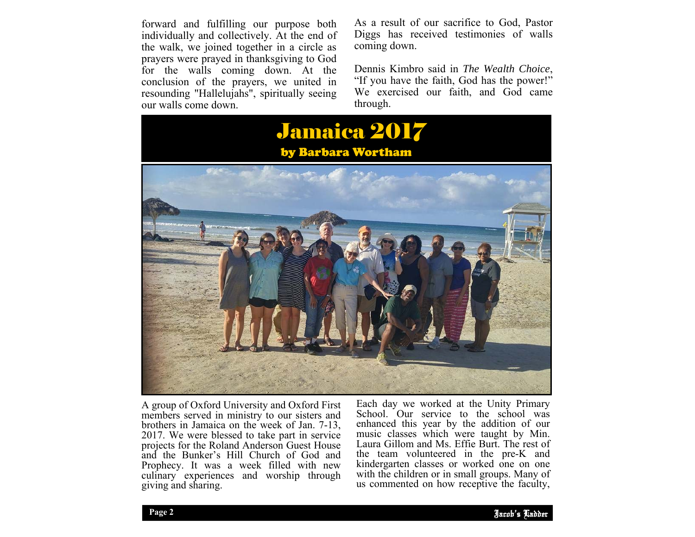forward and fulfilling our purpose both individually and collectively. At the end of the walk, we joined together in a circle as prayers were prayed in thanksgiving to God for the walls coming down. At the conclusion of the prayers, we united in resounding "Hallelujahs", spiritually seeing our walls come down.

As a result of our sacrifice to God, Pastor Diggs has received testimonies of walls coming down.

Dennis Kimbro said in *The Wealth Choice*, "If you have the faith, God has the power!" We exercised our faith, and God came through.



A group of Oxford University and Oxford First members served in ministry to our sisters and brothers in Jamaica on the week of Jan. 7-13, 2017. We were blessed to take part in service projects for the Roland Anderson Guest House and the Bunker's Hill Church of God and Prophecy. It was a week filled with new culinary experiences and worship through giving and sharing.

kindergarten classes or worked one on one Each day we worked at the Unity Primary School. Our service to the school was enhanced this year by the addition of our music classes which were taught by Min. Laura Gillom and Ms. Effie Burt. The rest of the team volunteered in the pre-K and with the children or in small groups. Many of us commented on how receptive the faculty,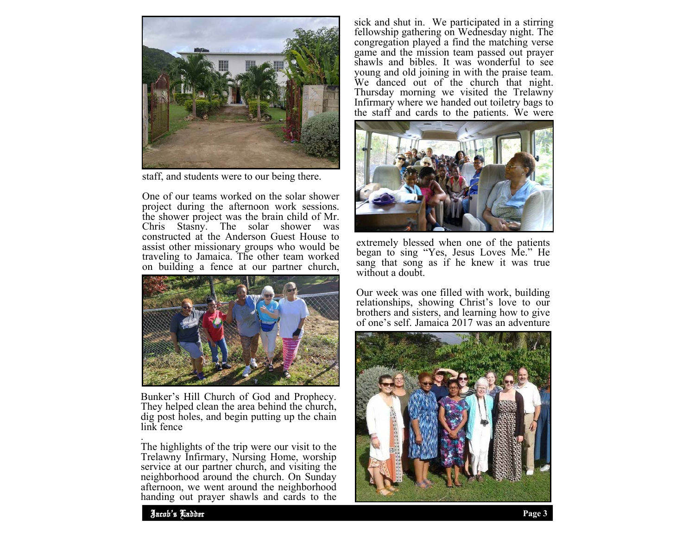

staff, and students were to our being there.

One of our teams worked on the solar shower project during the afternoon work sessions. the shower project was the brain child of Mr.<br>Chris Stasny. The solar shower was  $Chris$  Stasny. The solar constructed at the Anderson Guest House to assist other missionary groups who would be traveling to Jamaica. The other team worked on building a fence at our partner church,



Bunker's Hill Church of God and Prophecy. They helped clean the area behind the church, dig post holes, and begin putting up the chain link fence

The highlights of the trip were our visit to the Trelawny Infirmary, Nursing Home, worship service at our partner church, and visiting the neighborhood around the church. On Sunday afternoon, we went around the neighborhood handing out prayer shawls and cards to the

sick and shut in. We participated in a stirring fellowship gathering on Wednesday night. The congregation played a find the matching verse game and the mission team passed out prayer shawls and bibles. It was wonderful to see young and old joining in with the praise team. We danced out of the church that night. Thursday morning we visited the Trelawny Infirmary where we handed out toiletry bags to the staff and cards to the patients. We were



extremely blessed when one of the patients began to sing "Yes, Jesus Loves Me." He sang that song as if he knew it was true without a doubt.

Our week was one filled with work, building relationships, showing Christ's love to our brothers and sisters, and learning how to give of one's self. Jamaica 2017 was an adventure



.